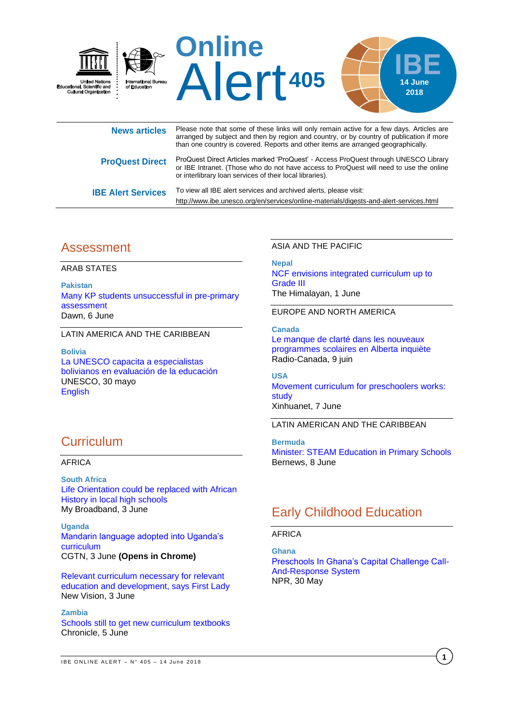

| <b>ProQuest Direct</b>    | ProQuest Direct Articles marked 'ProQuest' - Access ProQuest through UNESCO Library<br>or IBE Intranet. (Those who do not have access to ProQuest will need to use the online<br>or interlibrary loan services of their local libraries). |
|---------------------------|-------------------------------------------------------------------------------------------------------------------------------------------------------------------------------------------------------------------------------------------|
| <b>IBE Alert Services</b> | To view all IBE alert services and archived alerts, please visit:                                                                                                                                                                         |

# Assessment

ARAB STATES

**Pakistan** [Many KP students unsuccessful in pre-primary](https://www.dawn.com/news/1412305)  [assessment](https://www.dawn.com/news/1412305) Dawn, 6 June

LATIN AMERICA AND THE CARIBBEAN

**Bolivia** [La UNESCO capacita a especialistas](http://www.unesco.org/new/es/media-services/single-view/news/la_unesco_capacita_a_especialistas_bolivianos_en_evaluacion/)  [bolivianos en evaluación de la educación](http://www.unesco.org/new/es/media-services/single-view/news/la_unesco_capacita_a_especialistas_bolivianos_en_evaluacion/) UNESCO, 30 mayo [English](http://www.unesco.org/new/en/media-services/single-view/news/la_unesco_capacita_a_especialistas_bolivianos_en_evaluacion/)

# **Curriculum**

### AFRICA

**South Africa** [Life Orientation could be replaced with African](https://mybroadband.co.za/news/government/262963-life-orientation-could-be-replaced-with-african-history-in-local-high-schools.html)  [History in local high schools](https://mybroadband.co.za/news/government/262963-life-orientation-could-be-replaced-with-african-history-in-local-high-schools.html) My Broadband, 3 June

**Uganda** [Mandarin language adopted into Uganda's](https://africa.cgtn.com/mandarin-language-adopted-into-ugandas-curriculum/)  [curriculum](https://africa.cgtn.com/mandarin-language-adopted-into-ugandas-curriculum/) CGTN, 3 June **(Opens in Chrome)**

[Relevant curriculum necessary for relevant](https://www.newvision.co.ug/new_vision/news/1478710/relevant-curriculum-relevant-education-development-lady)  [education and development, says First Lady](https://www.newvision.co.ug/new_vision/news/1478710/relevant-curriculum-relevant-education-development-lady) New Vision, 3 June

#### **Zambia**

[Schools still to get new curriculum textbooks](http://www.chronicle.co.zw/schools-still-to-get-new-curriculum-textbooks/) Chronicle, 5 June

#### ASIA AND THE PACIFIC

<http://www.ibe.unesco.org/en/services/online-materials/digests-and-alert-services.html>

**Nepal**

[NCF envisions integrated curriculum up to](https://thehimalayantimes.com/kathmandu/national-curriculum-framework-envisions-integrated-curriculum-up-to-grade-iii/)  [Grade III](https://thehimalayantimes.com/kathmandu/national-curriculum-framework-envisions-integrated-curriculum-up-to-grade-iii/) The Himalayan, 1 June

EUROPE AND NORTH AMERICA

**Canada**

[Le manque de clarté dans les nouveaux](https://ici.radio-canada.ca/nouvelle/1105988/francophonie-education-inquietudes-critique-reforme-programmes-scolaires-alberta)  [programmes scolaires en Alberta](https://ici.radio-canada.ca/nouvelle/1105988/francophonie-education-inquietudes-critique-reforme-programmes-scolaires-alberta) inquiète Radio-Canada, 9 juin

### **USA**

[Movement curriculum for preschoolers works:](http://www.xinhuanet.com/english/2018-06/07/c_137235623.htm)  [study](http://www.xinhuanet.com/english/2018-06/07/c_137235623.htm) Xinhuanet, 7 June

LATIN AMERICAN AND THE CARIBBEAN

**Bermuda**

[Minister: STEAM Education in Primary Schools](http://bernews.com/2018/06/minister-steam-education-in-primary-schools/) Bernews, 8 June

# Early Childhood Education

### AFRICA

**Ghana** [Preschools In Ghana's Capital Challenge Call-](https://www.npr.org/2018/05/30/615388576/preschools-in-ghana-s-capital-challenge-call-and-response-system)[And-Response System](https://www.npr.org/2018/05/30/615388576/preschools-in-ghana-s-capital-challenge-call-and-response-system) NPR, 30 May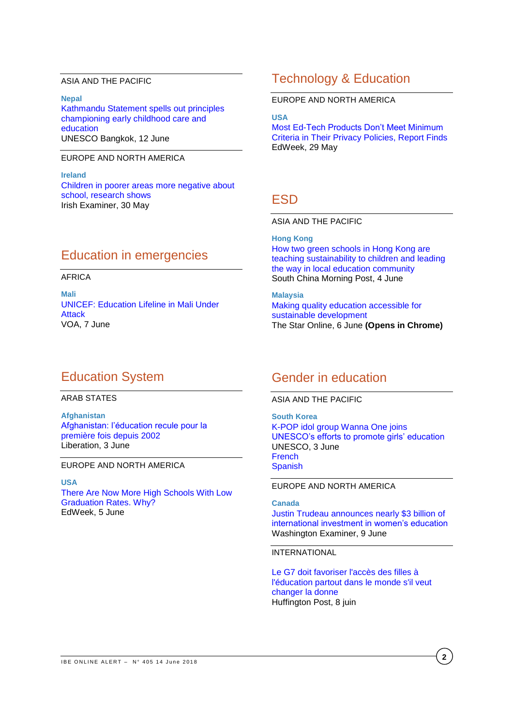### ASIA AND THE PACIFIC

**Nepal** [Kathmandu Statement spells out principles](https://bangkok.unesco.org/content/kathmandu-statement-spells-out-principles-championing-early-childhood-care-and-education)  [championing early childhood care and](https://bangkok.unesco.org/content/kathmandu-statement-spells-out-principles-championing-early-childhood-care-and-education)  [education](https://bangkok.unesco.org/content/kathmandu-statement-spells-out-principles-championing-early-childhood-care-and-education) UNESCO Bangkok, 12 June

### EUROPE AND NORTH AMERICA

**Ireland** [Children in poorer areas more negative about](https://www.irishexaminer.com/breakingnews/ireland/children-in-poorer-areas-more-negative-about-school-research-shows-845877.html)  [school, research shows](https://www.irishexaminer.com/breakingnews/ireland/children-in-poorer-areas-more-negative-about-school-research-shows-845877.html) Irish Examiner, 30 May

### Education in emergencies

### AFRICA

**Mali** [UNICEF: Education Lifeline in Mali Under](https://www.voanews.com/a/unicef-education-lifeline-in-mali-under-attack/4428827.html)  [Attack](https://www.voanews.com/a/unicef-education-lifeline-in-mali-under-attack/4428827.html)  VOA, 7 June

# Education System

#### ARAB STATES

**Afghanistan** [Afghanistan: l'éducation recule pour la](http://www.liberation.fr/planete/2018/06/03/afghanistan-l-education-recule-pour-la-premiere-fois-depuis-2002_1656244)  [première fois depuis 2002](http://www.liberation.fr/planete/2018/06/03/afghanistan-l-education-recule-pour-la-premiere-fois-depuis-2002_1656244) Liberation, 3 June

#### EUROPE AND NORTH AMERICA

**USA**

[There Are Now More High Schools With Low](http://blogs.edweek.org/edweek/high_school_and_beyond/2018/06/there_are_now_more_high_schools_with_low_graduation_rates_why.html)  [Graduation Rates. Why?](http://blogs.edweek.org/edweek/high_school_and_beyond/2018/06/there_are_now_more_high_schools_with_low_graduation_rates_why.html) EdWeek, 5 June

# Technology & Education

EUROPE AND NORTH AMERICA

**USA** [Most Ed-Tech Products Don't Meet Minimum](https://marketbrief.edweek.org/marketplace-k-12/ed-tech-products-dont-meet-minimum-criteria-privacy-policies-report-finds/)  [Criteria in Their Privacy Policies, Report Finds](https://marketbrief.edweek.org/marketplace-k-12/ed-tech-products-dont-meet-minimum-criteria-privacy-policies-report-finds/) EdWeek, 29 May

# ESD

ASIA AND THE PACIFIC

**Hong Kong** [How two green schools in Hong Kong are](http://www.scmp.com/lifestyle/article/2148898/how-two-green-schools-hong-kong-are-teaching-sustainability-children-and)  [teaching sustainability to children and leading](http://www.scmp.com/lifestyle/article/2148898/how-two-green-schools-hong-kong-are-teaching-sustainability-children-and)  [the way in local education community](http://www.scmp.com/lifestyle/article/2148898/how-two-green-schools-hong-kong-are-teaching-sustainability-children-and) South China Morning Post, 4 June

**Malaysia** [Making quality education accessible for](https://www.thestar.com.my/news/nation/2018/06/06/making-quality-education-accessible-for-sustainable-development/)  [sustainable development](https://www.thestar.com.my/news/nation/2018/06/06/making-quality-education-accessible-for-sustainable-development/) The Star Online, 6 June **(Opens in Chrome)**

# Gender in education

ASIA AND THE PACIFIC

**South Korea** [K-POP idol group Wanna One joins](https://en.unesco.org/news/k-pop-idol-group-wanna-one-joins-unesco-s-efforts-promote-girls-education)  [UNESCO's efforts to promote girls' education](https://en.unesco.org/news/k-pop-idol-group-wanna-one-joins-unesco-s-efforts-promote-girls-education) UNESCO, 3 June [French](https://fr.unesco.org/news/groupe-idoles-k-pop-wanna-one-se-joint-aux-efforts-unesco-faveur-education-filles) [Spanish](https://es.unesco.org/news/grupo-idolos-pop-coreana-wanna-one-se-esfuerzos-unesco-promover-educacion-ninas)

EUROPE AND NORTH AMERICA

**Canada** [Justin Trudeau announces nearly \\$3 billion of](https://www.washingtonexaminer.com/policy/foreign/justin-trudeau-announces-nearly-3-billion-of-international-investment-in-womens-education)  [international investment in women's education](https://www.washingtonexaminer.com/policy/foreign/justin-trudeau-announces-nearly-3-billion-of-international-investment-in-womens-education) Washington Examiner, 9 June

#### INTERNATIONAL

[Le G7 doit favoriser l'accès des filles à](https://www.huffingtonpost.fr/sebastien-lyon/le-g7-doit-favoriser-lacces-des-filles-a-leducation-partout-dans-le-monde-sil-veut-changer-la-donne_a_23451267/)  [l'éducation partout dans le monde s'il veut](https://www.huffingtonpost.fr/sebastien-lyon/le-g7-doit-favoriser-lacces-des-filles-a-leducation-partout-dans-le-monde-sil-veut-changer-la-donne_a_23451267/)  [changer la donne](https://www.huffingtonpost.fr/sebastien-lyon/le-g7-doit-favoriser-lacces-des-filles-a-leducation-partout-dans-le-monde-sil-veut-changer-la-donne_a_23451267/) Huffington Post, 8 juin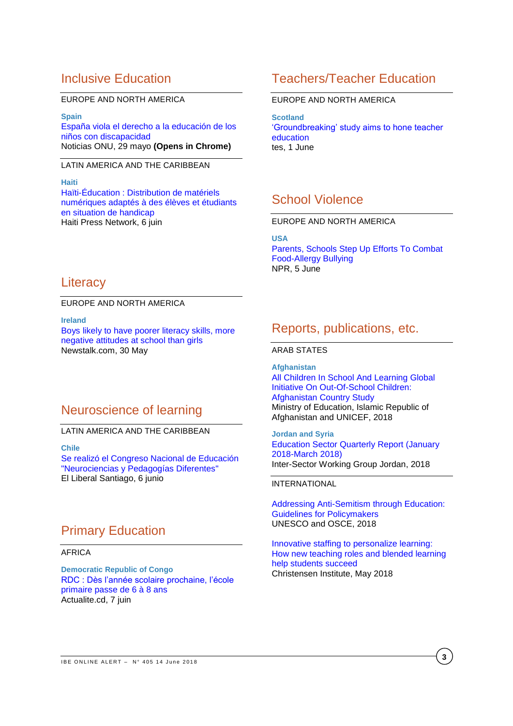# Inclusive Education

### EUROPE AND NORTH AMERICA

**Spain** [España viola el derecho a la educación de los](https://news.un.org/es/story/2018/05/1434611)  [niños con discapacidad](https://news.un.org/es/story/2018/05/1434611) Noticias ONU, 29 mayo **(Opens in Chrome)**

### LATIN AMERICA AND THE CARIBBEAN

**Haiti** [Haïti-Éducation : Distribution de matériels](http://www.hpnhaiti.com/nouvelles/index.php/societe/54-education/3845-haiti-education-distribution-de-materiels-numeriques-adaptes-a-des-eleves-et-etudiants-en-situation-de-handicap)  [numériques adaptés à des élèves et étudiants](http://www.hpnhaiti.com/nouvelles/index.php/societe/54-education/3845-haiti-education-distribution-de-materiels-numeriques-adaptes-a-des-eleves-et-etudiants-en-situation-de-handicap)  [en situation de handicap](http://www.hpnhaiti.com/nouvelles/index.php/societe/54-education/3845-haiti-education-distribution-de-materiels-numeriques-adaptes-a-des-eleves-et-etudiants-en-situation-de-handicap) Haiti Press Network, 6 juin

# **Literacy**

EUROPE AND NORTH AMERICA

**Ireland**

Boys [likely to have poorer literacy skills, more](https://www.newstalk.com/Boys-likely-to-have-poorer-literacy-skills-more-negative-attitudes-at-school-than-girls)  [negative attitudes at school than girls](https://www.newstalk.com/Boys-likely-to-have-poorer-literacy-skills-more-negative-attitudes-at-school-than-girls) Newstalk.com, 30 May

# Neuroscience of learning

### LATIN AMERICA AND THE CARIBBEAN

**Chile**

[Se realizó el Congreso Nacional de Educación](https://www.elliberal.com.ar/noticia/422803/se-realizo-congreso-nacional-educacion-neurociencias-pedagogias-diferentes)  ["Neurociencias y Pedagogías Diferentes"](https://www.elliberal.com.ar/noticia/422803/se-realizo-congreso-nacional-educacion-neurociencias-pedagogias-diferentes) El Liberal Santiago, 6 junio

# Primary Education

#### AFRICA

**Democratic Republic of Congo** [RDC : Dès l'année scolaire prochaine, l'école](https://actualite.cd/2018/06/07/rdc-des-lannee-scolaire-prochaine-lecole-primaire-passe-de-6-a-8-ans/)  [primaire passe de 6 à 8 ans](https://actualite.cd/2018/06/07/rdc-des-lannee-scolaire-prochaine-lecole-primaire-passe-de-6-a-8-ans/) Actualite.cd, 7 juin

# Teachers/Teacher Education

### EUROPE AND NORTH AMERICA

**Scotland** ['Groundbreaking' study aims to hone teacher](https://www.tes.com/news/groundbreaking-study-aims-hone-teacher-education)  [education](https://www.tes.com/news/groundbreaking-study-aims-hone-teacher-education) tes, 1 June

# School Violence

### EUROPE AND NORTH AMERICA

**USA**

[Parents, Schools Step Up Efforts To Combat](https://www.npr.org/sections/thesalt/2018/06/05/613933607/parents-schools-step-up-efforts-to-combat-food-allergy-bullying)  [Food-Allergy Bullying](https://www.npr.org/sections/thesalt/2018/06/05/613933607/parents-schools-step-up-efforts-to-combat-food-allergy-bullying) NPR, 5 June

### Reports, publications, etc.

### ARAB STATES

**Afghanistan** [All Children In School And Learning Global](https://reliefweb.int/sites/reliefweb.int/files/resources/afg-report-oocs2018.pdf)  [Initiative On Out-Of-School Children:](https://reliefweb.int/sites/reliefweb.int/files/resources/afg-report-oocs2018.pdf)  [Afghanistan Country Study](https://reliefweb.int/sites/reliefweb.int/files/resources/afg-report-oocs2018.pdf) Ministry of Education, Islamic Republic of Afghanistan and UNICEF, 2018

**Jordan and Syria** [Education Sector Quarterly Report \(January](https://reliefweb.int/sites/reliefweb.int/files/resources/63925.pdf)  [2018-March 2018\)](https://reliefweb.int/sites/reliefweb.int/files/resources/63925.pdf) Inter-Sector Working Group Jordan, 2018

### INTERNATIONAL

[Addressing Anti-Semitism through Education:](http://unesdoc.unesco.org/images/0026/002637/263702e.pdf)  [Guidelines for Policymakers](http://unesdoc.unesco.org/images/0026/002637/263702e.pdf) UNESCO and OSCE, 2018

[Innovative staffing to personalize learning:](https://www.christenseninstitute.org/wp-content/uploads/2018/05/innovative-staffing_2018_final.pdf)  [How new teaching roles and blended learning](https://www.christenseninstitute.org/wp-content/uploads/2018/05/innovative-staffing_2018_final.pdf)  [help students succeed](https://www.christenseninstitute.org/wp-content/uploads/2018/05/innovative-staffing_2018_final.pdf) Christensen Institute, May 2018

**3**